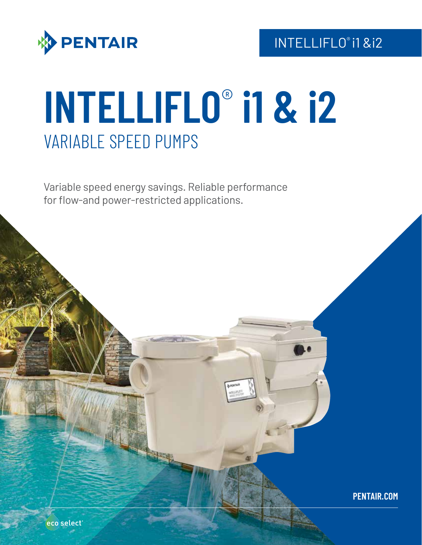

# **INTELLIFLO**® **i1 & i2** VARIABLE SPEED PUMPS

Variable speed energy savings. Reliable performance for flow-and power-restricted applications.

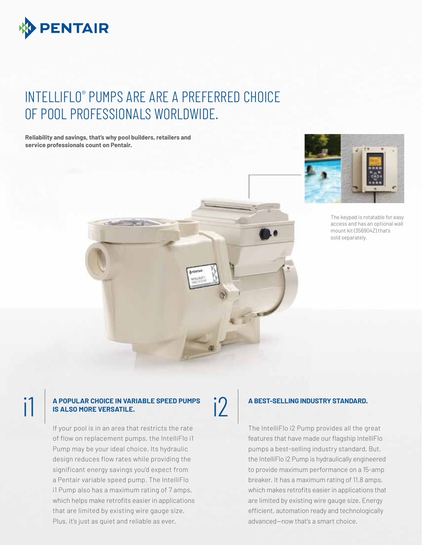

### INTELLIFLO® PUMPS ARE ARE A PREFERRED CHOICE OF POOL PROFESSIONALS WORLDWIDE.

**Reliability and savings, that's why pool builders, retailers and service professionals count on Pentair.**



The keypad is rotatable for easy access and has an optional wall mount kit (356904Z) that's sold separately.



### **A POPULAR CHOICE IN VARIABLE SPEED PUMPS BALSO MORE VERSATILE. IS ALSO MORE VERSATILE.**

If your pool is in an area that restricts the rate of flow on replacement pumps, the IntelliFlo i1 Pump may be your ideal choice. Its hydraulic design reduces flow rates while providing the significant energy savings you'd expect from a Pentair variable speed pump. The IntelliFlo i1 Pump also has a maximum rating of 7 amps, which helps make retrofits easier in applications that are limited by existing wire gauge size. Plus, it's just as quiet and reliable as ever.

### **A BEST-SELLING INDUSTRY STANDARD.**

The IntelliFlo i2 Pump provides all the great features that have made our flagship IntelliFlo pumps a best-selling industry standard. But, the IntelliFlo i2 Pump is hydraulically engineered to provide maximum performance on a 15-amp breaker. It has a maximum rating of 11.8 amps, which makes retrofits easier in applications that are limited by existing wire gauge size. Energy efficient, automation ready and technologically advanced—now that's a smart choice.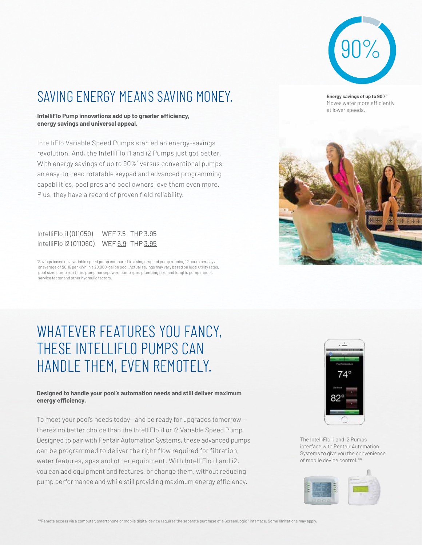

### SAVING ENERGY MEANS SAVING MONEY.

**IntelliFlo Pump innovations add up to greater efficiency, energy savings and universal appeal.**

IntelliFlo Variable Speed Pumps started an energy-savings revolution. And, the IntelliFlo i1 and i2 Pumps just got better. With energy savings of up to 90%\* versus conventional pumps, an easy-to-read rotatable keypad and advanced programming capabilities, pool pros and pool owners love them even more. Plus, they have a record of proven field reliability.

| IntelliFlo i1(011059)  | WEF 7.5 THP 3.95 |
|------------------------|------------------|
| IntelliFlo i2 (011060) | WEF 6.9 THP 3.95 |

\* Savings based on a variable speed pump compared to a single-speed pump running 12 hours per day at anaverage of \$0.16 per kWh in a 20,000-gallon pool. Actual savings may vary based on local utility rates, pool size, pump run time, pump horsepower, pump rpm, plumbing size and length, pump model, service factor and other hydraulic factors.

### WHATEVER FEATURES YOU FANCY, THESE INTELLIFLO PUMPS CAN HANDLE THEM, EVEN REMOTELY.

#### **Designed to handle your pool's automation needs and still deliver maximum energy efficiency.**

To meet your pool's needs today—and be ready for upgrades tomorrow there's no better choice than the IntelliFlo i1 or i2 Variable Speed Pump. Designed to pair with Pentair Automation Systems, these advanced pumps can be programmed to deliver the right flow required for filtration, water features, spas and other equipment. With IntelliFlo i1 and i2, you can add equipment and features, or change them, without reducing pump performance and while still providing maximum energy efficiency.



The IntelliFlo i1 and i2 Pumps interface with Pentair Automation Systems to give you the convenience of mobile device control.\*\*



**Energy savings of up to 90%\*** Moves water more efficiently at lower speeds.

\*\*Remote access via a computer, smartphone or mobile digital device requires the separate purchase of a ScreenLogic® Interface. Some limitations may apply.